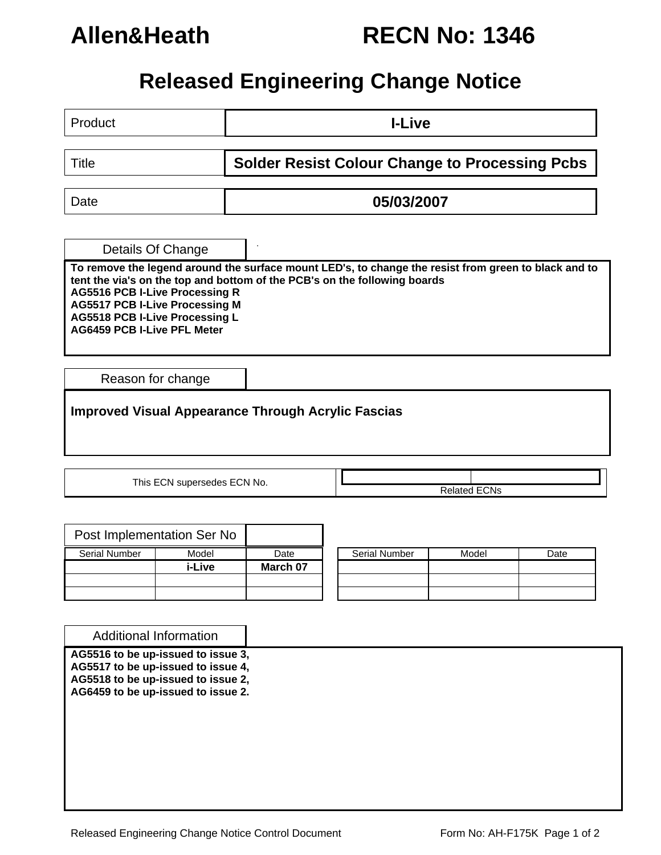# **Allen&Heath RECN No: 1346**

## **Released Engineering Change Notice**

Product **I-Live** 

Title **Solder Resist Colour Change to Processing Pcbs** 

Date **05/03/2007** 

. Details Of Change

**To remove the legend around the surface mount LED's, to change the resist from green to black and to tent the via's on the top and bottom of the PCB's on the following boards AG5516 PCB I-Live Processing R AG5517 PCB I-Live Processing M AG5518 PCB I-Live Processing L AG6459 PCB I-Live PFL Meter** 

Reason for change

**Improved Visual Appearance Through Acrylic Fascias**

This ECN supersedes ECN No.  $\overline{\qquad}$  **Related ECNs** 

|                      | Post Implementation Ser No |          |                      |
|----------------------|----------------------------|----------|----------------------|
| <b>Serial Number</b> | Model                      | Date     | <b>Serial Number</b> |
|                      | i-Live                     | March 07 |                      |
|                      |                            |          |                      |
|                      |                            |          |                      |

| Serial Number | Model | Date |
|---------------|-------|------|
|               |       |      |
|               |       |      |
|               |       |      |

**AG5516 to be up-issued to issue 3, AG5517 to be up-issued to issue 4,**  Additional Information

**AG5518 to be up-issued to issue 2, AG6459 to be up-issued to issue 2.**